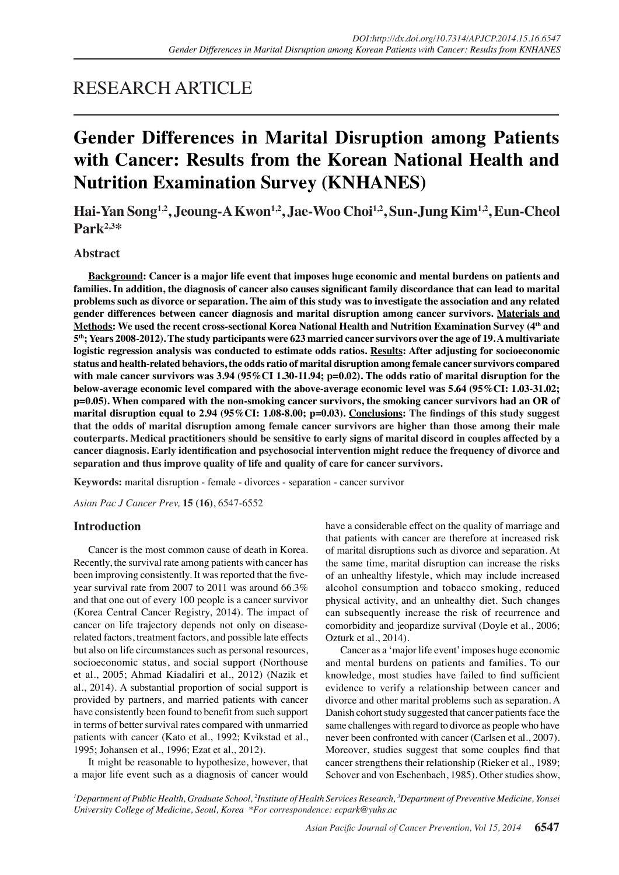# RESEARCH ARTICLE

# **Gender Differences in Marital Disruption among Patients with Cancer: Results from the Korean National Health and Nutrition Examination Survey (KNHANES)**

**Hai-Yan Song1,2, Jeoung-A Kwon1,2, Jae-Woo Choi1,2, Sun-Jung Kim1,2, Eun-Cheol Park2,3\***

# **Abstract**

**Background: Cancer is a major life event that imposes huge economic and mental burdens on patients and families. In addition, the diagnosis of cancer also causes significant family discordance that can lead to marital problems such as divorce or separation. The aim of this study was to investigate the association and any related gender differences between cancer diagnosis and marital disruption among cancer survivors. Materials and Methods: We used the recent cross-sectional Korea National Health and Nutrition Examination Survey (4th and 5th; Years 2008-2012). The study participants were 623 married cancer survivors over the age of 19. A multivariate logistic regression analysis was conducted to estimate odds ratios. Results: After adjusting for socioeconomic status and health-related behaviors, the odds ratio of marital disruption among female cancer survivors compared**  with male cancer survivors was 3.94 (95%CI 1.30-11.94; p=0.02). The odds ratio of marital disruption for the **below-average economic level compared with the above-average economic level was 5.64 (95%CI: 1.03-31.02; p=0.05). When compared with the non-smoking cancer survivors, the smoking cancer survivors had an OR of marital disruption equal to 2.94 (95%CI: 1.08-8.00; p=0.03). Conclusions: The findings of this study suggest that the odds of marital disruption among female cancer survivors are higher than those among their male couterparts. Medical practitioners should be sensitive to early signs of marital discord in couples affected by a cancer diagnosis. Early identification and psychosocial intervention might reduce the frequency of divorce and separation and thus improve quality of life and quality of care for cancer survivors.**

**Keywords:** marital disruption - female - divorces - separation - cancer survivor

*Asian Pac J Cancer Prev,* **15 (16)**, 6547-6552

## **Introduction**

Cancer is the most common cause of death in Korea. Recently, the survival rate among patients with cancer has been improving consistently. It was reported that the fiveyear survival rate from 2007 to 2011 was around 66.3% and that one out of every 100 people is a cancer survivor (Korea Central Cancer Registry, 2014). The impact of cancer on life trajectory depends not only on diseaserelated factors, treatment factors, and possible late effects but also on life circumstances such as personal resources, socioeconomic status, and social support (Northouse et al., 2005; Ahmad Kiadaliri et al., 2012) (Nazik et al., 2014). A substantial proportion of social support is provided by partners, and married patients with cancer have consistently been found to benefit from such support in terms of better survival rates compared with unmarried patients with cancer (Kato et al., 1992; Kvikstad et al., 1995; Johansen et al., 1996; Ezat et al., 2012).

It might be reasonable to hypothesize, however, that a major life event such as a diagnosis of cancer would have a considerable effect on the quality of marriage and that patients with cancer are therefore at increased risk of marital disruptions such as divorce and separation. At the same time, marital disruption can increase the risks of an unhealthy lifestyle, which may include increased alcohol consumption and tobacco smoking, reduced physical activity, and an unhealthy diet. Such changes can subsequently increase the risk of recurrence and comorbidity and jeopardize survival (Doyle et al., 2006; Ozturk et al., 2014).

Cancer as a 'major life event' imposes huge economic and mental burdens on patients and families. To our knowledge, most studies have failed to find sufficient evidence to verify a relationship between cancer and divorce and other marital problems such as separation. A Danish cohort study suggested that cancer patients face the same challenges with regard to divorce as people who have never been confronted with cancer (Carlsen et al., 2007). Moreover, studies suggest that some couples find that cancer strengthens their relationship (Rieker et al., 1989; Schover and von Eschenbach, 1985). Other studies show,

*1 Department of Public Health, Graduate School, 2 Institute of Health Services Research, 3 Department of Preventive Medicine, Yonsei University College of Medicine, Seoul, Korea \*For correspondence: ecpark@yuhs.ac*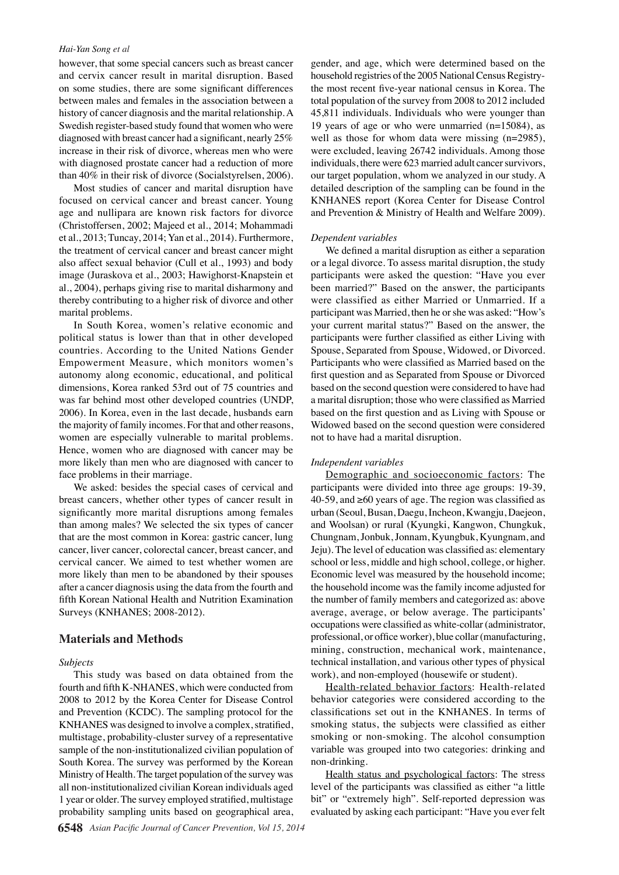#### *Hai-Yan Song et al*

however, that some special cancers such as breast cancer and cervix cancer result in marital disruption. Based on some studies, there are some significant differences between males and females in the association between a history of cancer diagnosis and the marital relationship. A Swedish register-based study found that women who were diagnosed with breast cancer had a significant, nearly 25% increase in their risk of divorce, whereas men who were with diagnosed prostate cancer had a reduction of more than 40% in their risk of divorce (Socialstyrelsen, 2006).

Most studies of cancer and marital disruption have focused on cervical cancer and breast cancer. Young age and nullipara are known risk factors for divorce (Christoffersen, 2002; Majeed et al., 2014; Mohammadi et al., 2013; Tuncay, 2014; Yan et al., 2014). Furthermore, the treatment of cervical cancer and breast cancer might also affect sexual behavior (Cull et al., 1993) and body image (Juraskova et al., 2003; Hawighorst-Knapstein et al., 2004), perhaps giving rise to marital disharmony and thereby contributing to a higher risk of divorce and other marital problems.

In South Korea, women's relative economic and political status is lower than that in other developed countries. According to the United Nations Gender Empowerment Measure, which monitors women's autonomy along economic, educational, and political dimensions, Korea ranked 53rd out of 75 countries and was far behind most other developed countries (UNDP, 2006). In Korea, even in the last decade, husbands earn the majority of family incomes. For that and other reasons, women are especially vulnerable to marital problems. Hence, women who are diagnosed with cancer may be more likely than men who are diagnosed with cancer to face problems in their marriage.

We asked: besides the special cases of cervical and breast cancers, whether other types of cancer result in significantly more marital disruptions among females than among males? We selected the six types of cancer that are the most common in Korea: gastric cancer, lung cancer, liver cancer, colorectal cancer, breast cancer, and cervical cancer. We aimed to test whether women are more likely than men to be abandoned by their spouses after a cancer diagnosis using the data from the fourth and fifth Korean National Health and Nutrition Examination Surveys (KNHANES; 2008-2012).

### **Materials and Methods**

#### *Subjects*

This study was based on data obtained from the fourth and fifth K-NHANES, which were conducted from 2008 to 2012 by the Korea Center for Disease Control and Prevention (KCDC). The sampling protocol for the KNHANES was designed to involve a complex, stratified, multistage, probability-cluster survey of a representative sample of the non-institutionalized civilian population of South Korea. The survey was performed by the Korean Ministry of Health. The target population of the survey was all non-institutionalized civilian Korean individuals aged 1 year or older. The survey employed stratified, multistage probability sampling units based on geographical area,

gender, and age, which were determined based on the household registries of the 2005 National Census Registrythe most recent five-year national census in Korea. The total population of the survey from 2008 to 2012 included 45,811 individuals. Individuals who were younger than 19 years of age or who were unmarried (n=15084), as well as those for whom data were missing (n=2985), were excluded, leaving 26742 individuals. Among those individuals, there were 623 married adult cancer survivors, our target population, whom we analyzed in our study. A detailed description of the sampling can be found in the KNHANES report (Korea Center for Disease Control and Prevention & Ministry of Health and Welfare 2009).

#### *Dependent variables*

We defined a marital disruption as either a separation or a legal divorce. To assess marital disruption, the study participants were asked the question: "Have you ever been married?" Based on the answer, the participants were classified as either Married or Unmarried. If a participant was Married, then he or she was asked: "How's your current marital status?" Based on the answer, the participants were further classified as either Living with Spouse, Separated from Spouse, Widowed, or Divorced. Participants who were classified as Married based on the first question and as Separated from Spouse or Divorced based on the second question were considered to have had a marital disruption; those who were classified as Married based on the first question and as Living with Spouse or Widowed based on the second question were considered not to have had a marital disruption.

#### *Independent variables*

Demographic and socioeconomic factors: The participants were divided into three age groups: 19-39, 40-59, and ≥60 years of age. The region was classified as urban (Seoul, Busan, Daegu, Incheon, Kwangju, Daejeon, and Woolsan) or rural (Kyungki, Kangwon, Chungkuk, Chungnam, Jonbuk, Jonnam, Kyungbuk, Kyungnam, and Jeju). The level of education was classified as: elementary school or less, middle and high school, college, or higher. Economic level was measured by the household income; the household income was the family income adjusted for the number of family members and categorized as: above average, average, or below average. The participants' occupations were classified as white-collar (administrator, professional, or office worker), blue collar (manufacturing, mining, construction, mechanical work, maintenance, technical installation, and various other types of physical work), and non-employed (housewife or student).

Health-related behavior factors: Health-related behavior categories were considered according to the classifications set out in the KNHANES. In terms of smoking status, the subjects were classified as either smoking or non-smoking. The alcohol consumption variable was grouped into two categories: drinking and non-drinking.

Health status and psychological factors: The stress level of the participants was classified as either "a little bit" or "extremely high". Self-reported depression was evaluated by asking each participant: "Have you ever felt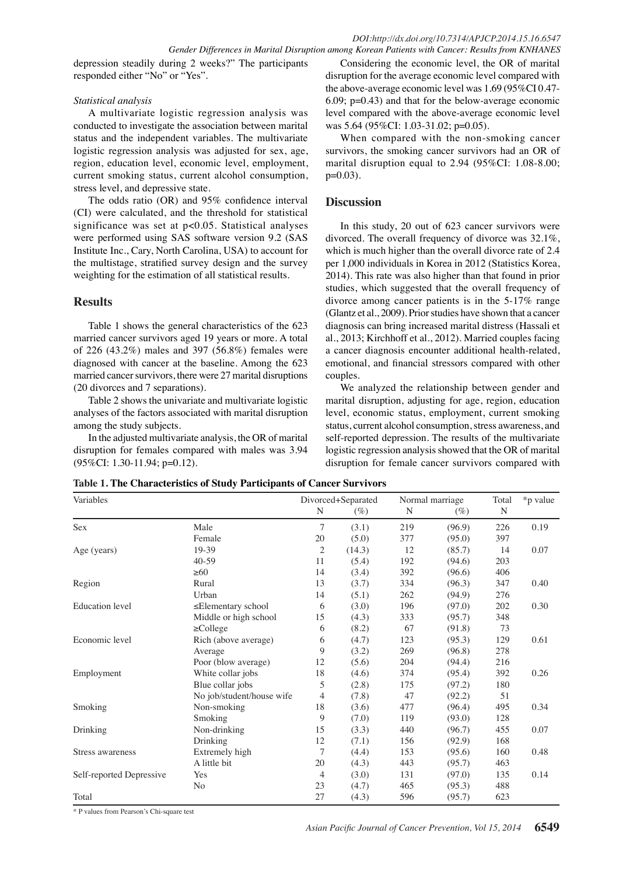### *DOI:http://dx.doi.org/10.7314/APJCP.2014.15.16.6547 Gender Differences in Marital Disruption among Korean Patients with Cancer: Results from KNHANES*

depression steadily during 2 weeks?" The participants responded either "No" or "Yes".

## *Statistical analysis*

A multivariate logistic regression analysis was conducted to investigate the association between marital status and the independent variables. The multivariate logistic regression analysis was adjusted for sex, age, region, education level, economic level, employment, current smoking status, current alcohol consumption, stress level, and depressive state.

The odds ratio (OR) and 95% confidence interval (CI) were calculated, and the threshold for statistical significance was set at p<0.05. Statistical analyses were performed using SAS software version 9.2 (SAS Institute Inc., Cary, North Carolina, USA) to account for the multistage, stratified survey design and the survey weighting for the estimation of all statistical results.

# **Results**

Table 1 shows the general characteristics of the 623 married cancer survivors aged 19 years or more. A total of 226 (43.2%) males and 397 (56.8%) females were diagnosed with cancer at the baseline. Among the 623 married cancer survivors, there were 27 marital disruptions (20 divorces and 7 separations).

Table 2 shows the univariate and multivariate logistic analyses of the factors associated with marital disruption among the study subjects.

In the adjusted multivariate analysis, the OR of marital disruption for females compared with males was 3.94 (95%CI: 1.30-11.94; p=0.12).

Considering the economic level, the OR of marital disruption for the average economic level compared with the above-average economic level was 1.69 (95%CI 0.47- 6.09; p=0.43) and that for the below-average economic level compared with the above-average economic level was 5.64 (95%CI: 1.03-31.02; p=0.05).

When compared with the non-smoking cancer survivors, the smoking cancer survivors had an OR of marital disruption equal to 2.94 (95%CI: 1.08-8.00; p=0.03).

# **Discussion**

In this study, 20 out of 623 cancer survivors were divorced. The overall frequency of divorce was 32.1%, which is much higher than the overall divorce rate of 2.4 per 1,000 individuals in Korea in 2012 (Statistics Korea, 2014). This rate was also higher than that found in prior studies, which suggested that the overall frequency of divorce among cancer patients is in the 5-17% range (Glantz et al., 2009). Prior studies have shown that a cancer diagnosis can bring increased marital distress (Hassali et al., 2013; Kirchhoff et al., 2012). Married couples facing a cancer diagnosis encounter additional health-related, emotional, and financial stressors compared with other couples.

We analyzed the relationship between gender and marital disruption, adjusting for age, region, education level, economic status, employment, current smoking status, current alcohol consumption, stress awareness, and self-reported depression. The results of the multivariate logistic regression analysis showed that the OR of marital disruption for female cancer survivors compared with

**Table 1. The Characteristics of Study Participants of Cancer Survivors**

| Variables                |                           | Divorced+Separated |        | Normal marriage |        | Total       | *p value |
|--------------------------|---------------------------|--------------------|--------|-----------------|--------|-------------|----------|
|                          |                           | N                  | (%)    | N               | $(\%)$ | $\mathbb N$ |          |
| Sex                      | Male                      | 7                  | (3.1)  | 219             | (96.9) | 226         | 0.19     |
|                          | Female                    | 20                 | (5.0)  | 377             | (95.0) | 397         |          |
| Age (years)              | 19-39                     | $\overline{2}$     | (14.3) | 12              | (85.7) | 14          | 0.07     |
|                          | $40-59$                   | 11                 | (5.4)  | 192             | (94.6) | 203         |          |
|                          | $\geq 60$                 | 14                 | (3.4)  | 392             | (96.6) | 406         |          |
| Region                   | Rural                     | 13                 | (3.7)  | 334             | (96.3) | 347         | 0.40     |
|                          | Urban                     | 14                 | (5.1)  | 262             | (94.9) | 276         |          |
| <b>Education</b> level   | $\leq$ Elementary school  | 6                  | (3.0)  | 196             | (97.0) | 202         | 0.30     |
|                          | Middle or high school     | 15                 | (4.3)  | 333             | (95.7) | 348         |          |
|                          | $\geq$ College            | 6                  | (8.2)  | 67              | (91.8) | 73          |          |
| Economic level           | Rich (above average)      | 6                  | (4.7)  | 123             | (95.3) | 129         | 0.61     |
|                          | Average                   | 9                  | (3.2)  | 269             | (96.8) | 278         |          |
|                          | Poor (blow average)       | 12                 | (5.6)  | 204             | (94.4) | 216         |          |
| Employment               | White collar jobs         | 18                 | (4.6)  | 374             | (95.4) | 392         | 0.26     |
|                          | Blue collar jobs          | 5                  | (2.8)  | 175             | (97.2) | 180         |          |
|                          | No job/student/house wife | 4                  | (7.8)  | 47              | (92.2) | 51          |          |
| Smoking                  | Non-smoking               | 18                 | (3.6)  | 477             | (96.4) | 495         | 0.34     |
|                          | Smoking                   | 9                  | (7.0)  | 119             | (93.0) | 128         |          |
| Drinking                 | Non-drinking              | 15                 | (3.3)  | 440             | (96.7) | 455         | 0.07     |
|                          | Drinking                  | 12                 | (7.1)  | 156             | (92.9) | 168         |          |
| Stress awareness         | Extremely high            | 7                  | (4.4)  | 153             | (95.6) | 160         | 0.48     |
|                          | A little bit              | 20                 | (4.3)  | 443             | (95.7) | 463         |          |
| Self-reported Depressive | Yes                       | 4                  | (3.0)  | 131             | (97.0) | 135         | 0.14     |
|                          | N <sub>o</sub>            | 23                 | (4.7)  | 465             | (95.3) | 488         |          |
| Total                    |                           | 27                 | (4.3)  | 596             | (95.7) | 623         |          |

\* P values from Pearson's Chi-square test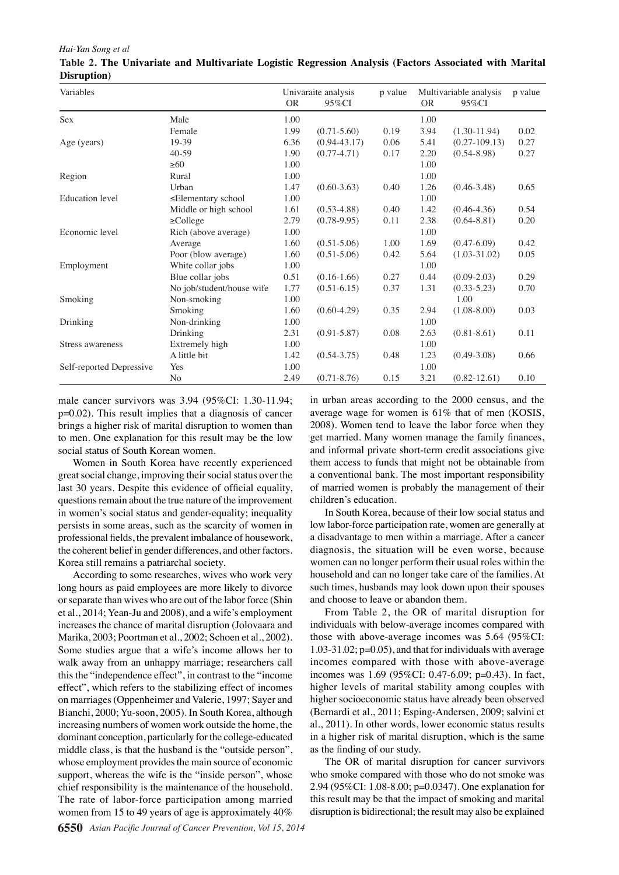#### *Hai-Yan Song et al*

| Variables                |                           | Univaraite analysis |                  | p value | Multivariable analysis |                  | p value |
|--------------------------|---------------------------|---------------------|------------------|---------|------------------------|------------------|---------|
|                          |                           | <b>OR</b>           | $95\%$ CI        |         | <b>OR</b>              | $95\%$ CI        |         |
| Sex                      | Male                      | 1.00                |                  |         | 1.00                   |                  |         |
|                          | Female                    | 1.99                | $(0.71 - 5.60)$  | 0.19    | 3.94                   | $(1.30-11.94)$   | 0.02    |
| Age (years)              | 19-39                     | 6.36                | $(0.94 - 43.17)$ | 0.06    | 5.41                   | $(0.27-109.13)$  | 0.27    |
|                          | $40 - 59$                 | 1.90                | $(0.77 - 4.71)$  | 0.17    | 2.20                   | $(0.54 - 8.98)$  | 0.27    |
|                          | $\geq 60$                 | 1.00                |                  |         | 1.00                   |                  |         |
| Region                   | Rural                     | 1.00                |                  |         | 1.00                   |                  |         |
|                          | Urban                     | 1.47                | $(0.60 - 3.63)$  | 0.40    | 1.26                   | $(0.46 - 3.48)$  | 0.65    |
| <b>Education</b> level   | $\leq$ Elementary school  | 1.00                |                  |         | 1.00                   |                  |         |
|                          | Middle or high school     | 1.61                | $(0.53 - 4.88)$  | 0.40    | 1.42                   | $(0.46 - 4.36)$  | 0.54    |
|                          | $\geq$ College            | 2.79                | $(0.78 - 9.95)$  | 0.11    | 2.38                   | $(0.64 - 8.81)$  | 0.20    |
| Economic level           | Rich (above average)      | 1.00                |                  |         | 1.00                   |                  |         |
|                          | Average                   | 1.60                | $(0.51 - 5.06)$  | 1.00    | 1.69                   | $(0.47 - 6.09)$  | 0.42    |
|                          | Poor (blow average)       | 1.60                | $(0.51 - 5.06)$  | 0.42    | 5.64                   | $(1.03 - 31.02)$ | 0.05    |
| Employment               | White collar jobs         | 1.00                |                  |         | 1.00                   |                  |         |
|                          | Blue collar jobs          | 0.51                | $(0.16-1.66)$    | 0.27    | 0.44                   | $(0.09 - 2.03)$  | 0.29    |
|                          | No job/student/house wife | 1.77                | $(0.51 - 6.15)$  | 0.37    | 1.31                   | $(0.33 - 5.23)$  | 0.70    |
| Smoking                  | Non-smoking               | 1.00                |                  |         |                        | 1.00             |         |
|                          | Smoking                   | 1.60                | $(0.60 - 4.29)$  | 0.35    | 2.94                   | $(1.08 - 8.00)$  | 0.03    |
| Drinking                 | Non-drinking              | 1.00                |                  |         | 1.00                   |                  |         |
|                          | Drinking                  | 2.31                | $(0.91 - 5.87)$  | 0.08    | 2.63                   | $(0.81 - 8.61)$  | 0.11    |
| Stress awareness         | Extremely high            | 1.00                |                  |         | 1.00                   |                  |         |
|                          | A little bit              | 1.42                | $(0.54 - 3.75)$  | 0.48    | 1.23                   | $(0.49 - 3.08)$  | 0.66    |
| Self-reported Depressive | Yes                       | 1.00                |                  |         | 1.00                   |                  |         |
|                          | N <sub>o</sub>            | 2.49                | $(0.71 - 8.76)$  | 0.15    | 3.21                   | $(0.82 - 12.61)$ | 0.10    |

## **Table 2. The Univariate and Multivariate Logistic Regression Analysis (Factors Associated with Marital Disruption)**

male cancer survivors was 3.94 (95%CI: 1.30-11.94; p=0.02). This result implies that a diagnosis of cancer brings a higher risk of marital disruption to women than to men. One explanation for this result may be the low social status of South Korean women.

Women in South Korea have recently experienced great social change, improving their social status over the last 30 years. Despite this evidence of official equality, questions remain about the true nature of the improvement in women's social status and gender-equality; inequality persists in some areas, such as the scarcity of women in professional fields, the prevalent imbalance of housework, the coherent belief in gender differences, and other factors. Korea still remains a patriarchal society.

According to some researches, wives who work very long hours as paid employees are more likely to divorce or separate than wives who are out of the labor force (Shin et al., 2014; Yean-Ju and 2008), and a wife's employment increases the chance of marital disruption (Jolovaara and Marika, 2003; Poortman et al., 2002; Schoen et al., 2002). Some studies argue that a wife's income allows her to walk away from an unhappy marriage; researchers call this the "independence effect", in contrast to the "income effect", which refers to the stabilizing effect of incomes on marriages (Oppenheimer and Valerie, 1997; Sayer and Bianchi, 2000; Yu-soon, 2005). In South Korea, although increasing numbers of women work outside the home, the dominant conception, particularly for the college-educated middle class, is that the husband is the "outside person", whose employment provides the main source of economic support, whereas the wife is the "inside person", whose chief responsibility is the maintenance of the household. The rate of labor-force participation among married women from 15 to 49 years of age is approximately 40% in urban areas according to the 2000 census, and the average wage for women is 61% that of men (KOSIS, 2008). Women tend to leave the labor force when they get married. Many women manage the family finances, and informal private short-term credit associations give them access to funds that might not be obtainable from a conventional bank. The most important responsibility of married women is probably the management of their children's education.

In South Korea, because of their low social status and low labor-force participation rate, women are generally at a disadvantage to men within a marriage. After a cancer diagnosis, the situation will be even worse, because women can no longer perform their usual roles within the household and can no longer take care of the families. At such times, husbands may look down upon their spouses and choose to leave or abandon them.

From Table 2, the OR of marital disruption for individuals with below-average incomes compared with those with above-average incomes was 5.64 (95%CI: 1.03-31.02; p=0.05), and that for individuals with average incomes compared with those with above-average incomes was 1.69 (95%CI: 0.47-6.09; p=0.43). In fact, higher levels of marital stability among couples with higher socioeconomic status have already been observed (Bernardi et al., 2011; Esping-Andersen, 2009; salvini et al., 2011). In other words, lower economic status results in a higher risk of marital disruption, which is the same as the finding of our study.

The OR of marital disruption for cancer survivors who smoke compared with those who do not smoke was 2.94 (95%CI: 1.08-8.00; p=0.0347). One explanation for this result may be that the impact of smoking and marital disruption is bidirectional; the result may also be explained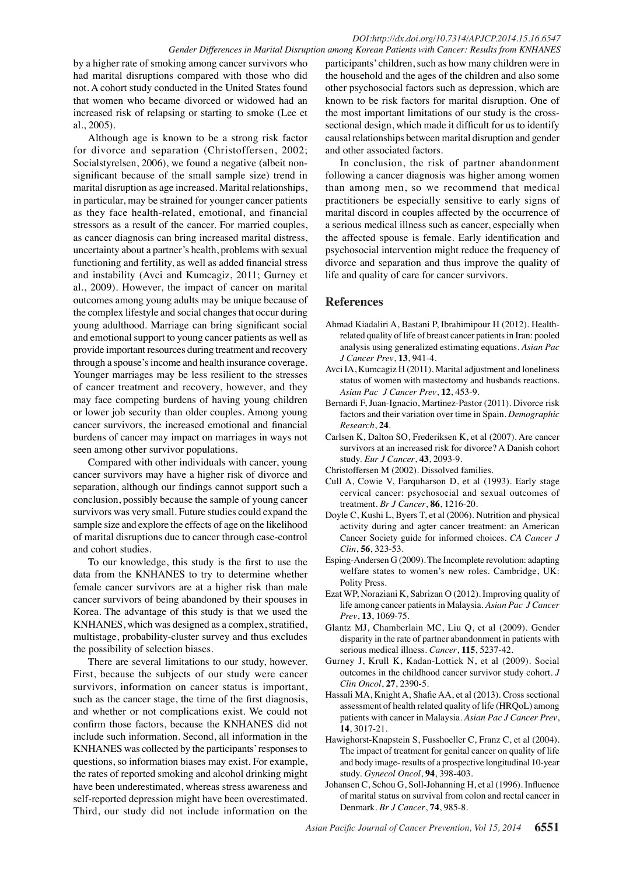### *DOI:http://dx.doi.org/10.7314/APJCP.2014.15.16.6547 Gender Differences in Marital Disruption among Korean Patients with Cancer: Results from KNHANES*

by a higher rate of smoking among cancer survivors who had marital disruptions compared with those who did not. A cohort study conducted in the United States found that women who became divorced or widowed had an increased risk of relapsing or starting to smoke (Lee et al., 2005).

Although age is known to be a strong risk factor for divorce and separation (Christoffersen, 2002; Socialstyrelsen, 2006), we found a negative (albeit nonsignificant because of the small sample size) trend in marital disruption as age increased. Marital relationships, in particular, may be strained for younger cancer patients as they face health-related, emotional, and financial stressors as a result of the cancer. For married couples, as cancer diagnosis can bring increased marital distress, uncertainty about a partner's health, problems with sexual functioning and fertility, as well as added financial stress and instability (Avci and Kumcagiz, 2011; Gurney et al., 2009). However, the impact of cancer on marital outcomes among young adults may be unique because of the complex lifestyle and social changes that occur during young adulthood. Marriage can bring significant social and emotional support to young cancer patients as well as provide important resources during treatment and recovery through a spouse's income and health insurance coverage. Younger marriages may be less resilient to the stresses of cancer treatment and recovery, however, and they may face competing burdens of having young children or lower job security than older couples. Among young cancer survivors, the increased emotional and financial burdens of cancer may impact on marriages in ways not seen among other survivor populations.

Compared with other individuals with cancer, young cancer survivors may have a higher risk of divorce and separation, although our findings cannot support such a conclusion, possibly because the sample of young cancer survivors was very small. Future studies could expand the sample size and explore the effects of age on the likelihood of marital disruptions due to cancer through case-control and cohort studies.

To our knowledge, this study is the first to use the data from the KNHANES to try to determine whether female cancer survivors are at a higher risk than male cancer survivors of being abandoned by their spouses in Korea. The advantage of this study is that we used the KNHANES, which was designed as a complex, stratified, multistage, probability-cluster survey and thus excludes the possibility of selection biases.

There are several limitations to our study, however. First, because the subjects of our study were cancer survivors, information on cancer status is important, such as the cancer stage, the time of the first diagnosis, and whether or not complications exist. We could not confirm those factors, because the KNHANES did not include such information. Second, all information in the KNHANES was collected by the participants' responses to questions, so information biases may exist. For example, the rates of reported smoking and alcohol drinking might have been underestimated, whereas stress awareness and self-reported depression might have been overestimated. Third, our study did not include information on the

participants' children, such as how many children were in the household and the ages of the children and also some other psychosocial factors such as depression, which are known to be risk factors for marital disruption. One of the most important limitations of our study is the crosssectional design, which made it difficult for us to identify causal relationships between marital disruption and gender and other associated factors.

In conclusion, the risk of partner abandonment following a cancer diagnosis was higher among women than among men, so we recommend that medical practitioners be especially sensitive to early signs of marital discord in couples affected by the occurrence of a serious medical illness such as cancer, especially when the affected spouse is female. Early identification and psychosocial intervention might reduce the frequency of divorce and separation and thus improve the quality of life and quality of care for cancer survivors.

## **References**

- Ahmad Kiadaliri A, Bastani P, Ibrahimipour H (2012). Healthrelated quality of life of breast cancer patients in Iran: pooled analysis using generalized estimating equations. *Asian Pac J Cancer Prev*, **13**, 941-4.
- Avci IA, Kumcagiz H (2011). Marital adjustment and loneliness status of women with mastectomy and husbands reactions. *Asian Pac J Cancer Prev*, **12**, 453-9.
- Bernardi F, Juan-Ignacio, Martinez-Pastor (2011). Divorce risk factors and their variation over time in Spain. *Demographic Research*, **24**.
- Carlsen K, Dalton SO, Frederiksen K, et al (2007). Are cancer survivors at an increased risk for divorce? A Danish cohort study. *Eur J Cancer*, **43**, 2093-9.
- Christoffersen M (2002). Dissolved families.
- Cull A, Cowie V, Farquharson D, et al (1993). Early stage cervical cancer: psychosocial and sexual outcomes of treatment. *Br J Cancer*, **86**, 1216-20.
- Doyle C, Kushi L, Byers T, et al (2006). Nutrition and physical activity during and agter cancer treatment: an American Cancer Society guide for informed choices. *CA Cancer J Clin*, **56**, 323-53.
- Esping-Andersen G (2009). The Incomplete revolution: adapting welfare states to women's new roles. Cambridge, UK: Polity Press.
- Ezat WP, Noraziani K, Sabrizan O (2012). Improving quality of life among cancer patients in Malaysia. *Asian Pac J Cancer Prev*, **13**, 1069-75.
- Glantz MJ, Chamberlain MC, Liu Q, et al (2009). Gender disparity in the rate of partner abandonment in patients with serious medical illness. *Cancer*, **115**, 5237-42.
- Gurney J, Krull K, Kadan-Lottick N, et al (2009). Social outcomes in the childhood cancer survivor study cohort. *J Clin Oncol*, **27**, 2390-5.
- Hassali MA, Knight A, Shafie AA, et al (2013). Cross sectional assessment of health related quality of life (HRQoL) among patients with cancer in Malaysia. *Asian Pac J Cancer Prev*, **14**, 3017-21.
- Hawighorst-Knapstein S, Fusshoeller C, Franz C, et al (2004). The impact of treatment for genital cancer on quality of life and body image- results of a prospective longitudinal 10-year study. *Gynecol Oncol*, **94**, 398-403.
- Johansen C, Schou G, Soll-Johanning H, et al (1996). Influence of marital status on survival from colon and rectal cancer in Denmark. *Br J Cancer*, **74**, 985-8.